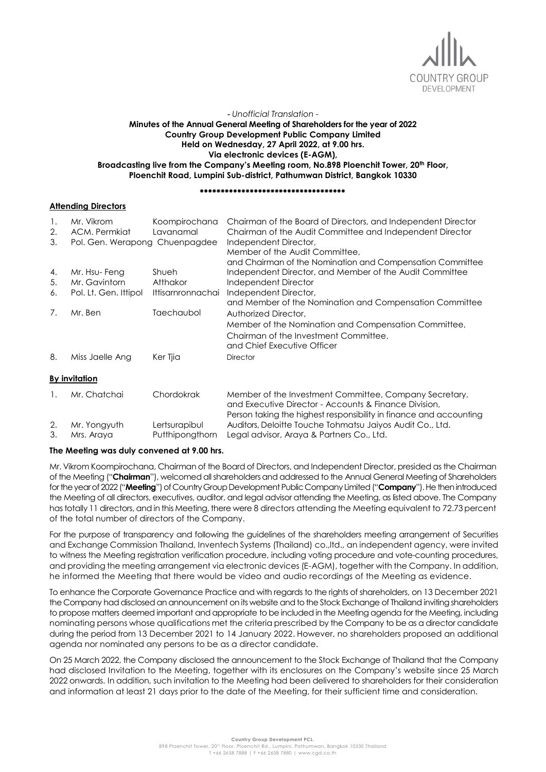

## *- Unofficial Translation -* **Minutes of the Annual General Meeting of Shareholders for the year of 2022 Country Group Development Public Company Limited Held on Wednesday, 27 April 2022, at 9.00 hrs. Via electronic devices (E-AGM), Broadcasting live from the Company's Meeting room, No.898 Ploenchit Tower, 20th Floor, Ploenchit Road, Lumpini Sub-district, Pathumwan District, Bangkok 10330**

#### \*\*\*\*\*\*\*\*\*\*\*\*\*\*\*\*\*\*\*\*\*\*\*\*\*\*\*\*\*\*\*\*\*\*\*

## **Attending Directors**

| $\mathbf{1}$ .<br>2.<br>3. | Mr. Vikrom<br>ACM. Permkiat<br>Pol. Gen. Werapong Chuenpagdee | Koompirochana<br>Lavanamal | Chairman of the Board of Directors, and Independent Director<br>Chairman of the Audit Committee and Independent Director<br>Independent Director,<br>Member of the Audit Committee.<br>and Chairman of the Nomination and Compensation Committee |
|----------------------------|---------------------------------------------------------------|----------------------------|--------------------------------------------------------------------------------------------------------------------------------------------------------------------------------------------------------------------------------------------------|
| 4.                         | Mr. Hsu-Feng                                                  | Shueh                      | Independent Director, and Member of the Audit Committee                                                                                                                                                                                          |
| 5.                         | Mr. Gavintorn                                                 | <b>Atthakor</b>            | Independent Director                                                                                                                                                                                                                             |
| 6.                         | Pol. Lt. Gen. Ittipol                                         | Ittisarnronnachai          | Independent Director,                                                                                                                                                                                                                            |
|                            |                                                               |                            | and Member of the Nomination and Compensation Committee                                                                                                                                                                                          |
| 7.                         | Mr. Ben                                                       | Taechaubol                 | Authorized Director,                                                                                                                                                                                                                             |
|                            |                                                               |                            | Member of the Nomination and Compensation Committee,                                                                                                                                                                                             |
|                            |                                                               |                            | Chairman of the Investment Committee.<br>and Chief Executive Officer                                                                                                                                                                             |
| 8.                         | Miss Jaelle Ang                                               | Ker Tjia                   | <b>Director</b>                                                                                                                                                                                                                                  |
|                            | <b>By invitation</b>                                          |                            |                                                                                                                                                                                                                                                  |
| $\mathbf{1}_{\cdot}$       | Mr. Chatchai                                                  | Chordokrak                 | Member of the Investment Committee, Company Secretary,<br>and Executive Director - Accounts & Finance Division.<br>Person taking the highest responsibility in finance and accounting                                                            |
| 2.                         | Mr. Yongyuth                                                  | Lertsurapibul              | Auditors, Deloitte Touche Tohmatsu Jaiyos Audit Co., Ltd.                                                                                                                                                                                        |
| 3.                         | Mrs. Araya                                                    | Putthipongthorn            | Legal advisor, Araya & Partners Co., Ltd.                                                                                                                                                                                                        |

## **The Meeting was duly convened at 9.00 hrs.**

Mr. Vikrom Koompirochana, Chairman of the Board of Directors, and Independent Director, presided as the Chairman of the Meeting ("**Chairman**"), welcomed all shareholders and addressed to the Annual General Meeting of Shareholders for the year of 2022 ("**Meeting**") of Country Group Development Public Company Limited ("**Company**"). He then introduced the Meeting of all directors, executives, auditor, and legal advisor attending the Meeting, as listed above. The Company has totally 11 directors, and in this Meeting, there were 8 directors attending the Meeting equivalent to 72.73 percent of the total number of directors of the Company.

For the purpose of transparency and following the guidelines of the shareholders meeting arrangement of Securities and Exchange Commission Thailand, Inventech Systems (Thailand) co.,ltd., an independent agency, were invited to witness the Meeting registration verification procedure, including voting procedure and vote-counting procedures, and providing the meeting arrangement via electronic devices (E-AGM), together with the Company. In addition, he informed the Meeting that there would be video and audio recordings of the Meeting as evidence.

To enhance the Corporate Governance Practice and with regards to the rights of shareholders, on 13 December 2021 the Company had disclosed an announcement on its website and to the Stock Exchange of Thailand inviting shareholders to propose matters deemed important and appropriate to be included in the Meeting agenda for the Meeting, including nominating persons whose qualifications met the criteria prescribed by the Company to be as a director candidate during the period from 13 December 2021 to 14 January 2022. However, no shareholders proposed an additional agenda nor nominated any persons to be as a director candidate.

On 25 March 2022, the Company disclosed the announcement to the Stock Exchange of Thailand that the Company had disclosed Invitation to the Meeting, together with its enclosures on the Company's website since 25 March 2022 onwards. In addition, such invitation to the Meeting had been delivered to shareholders for their consideration and information at least 21 days prior to the date of the Meeting, for their sufficient time and consideration.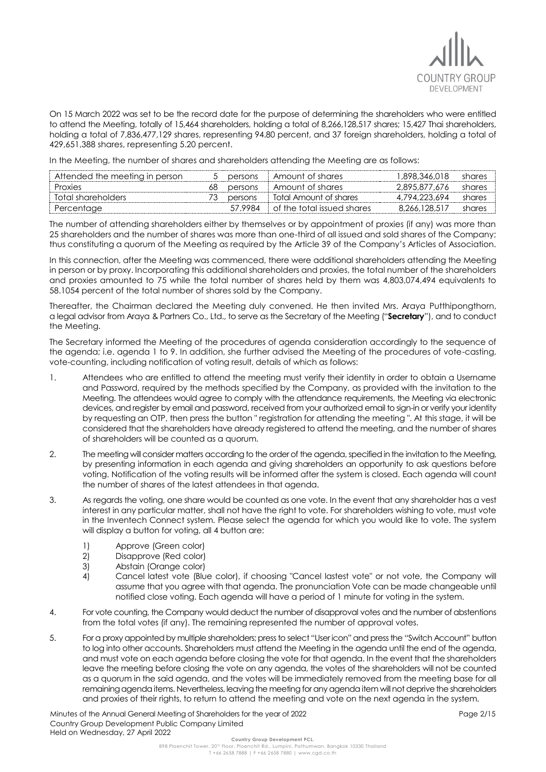

On 15 March 2022 was set to be the record date for the purpose of determining the shareholders who were entitled to attend the Meeting, totally of 15,464 shareholders, holding a total of 8,266,128,517 shares; 15,427 Thai shareholders, holding a total of 7,836,477,129 shares, representing 94.80 percent, and 37 foreign shareholders, holding a total of 429,651,388 shares, representing 5.20 percent.

In the Meeting, the number of shares and shareholders attending the Meeting are as follows:

| Attended the meeting in person |    | persons | Amount of shares           | 1.898.346.018 | shares |
|--------------------------------|----|---------|----------------------------|---------------|--------|
| Proxies                        | 68 | persons | Amount of shares           | 2.895.877.676 | shares |
| Total shareholders             |    | persons | Total Amount of shares     | 4.794.223.694 | shares |
| Percentage                     |    | 57 9984 | of the total issued shares | 8.266.128.517 | shares |

The number of attending shareholders either by themselves or by appointment of proxies (if any) was more than 25 shareholders and the number of shares was more than one-third of all issued and sold shares of the Company; thus constituting a quorum of the Meeting as required by the Article 39 of the Company's Articles of Association.

In this connection, after the Meeting was commenced, there were additional shareholders attending the Meeting in person or by proxy. Incorporating this additional shareholders and proxies, the total number of the shareholders and proxies amounted to 75 while the total number of shares held by them was 4,803,074,494 equivalents to 58.1054 percent of the total number of shares sold by the Company.

Thereafter, the Chairman declared the Meeting duly convened. He then invited Mrs. Araya Putthipongthorn, a legal advisor from Araya & Partners Co., Ltd., to serve as the Secretary of the Meeting ("**Secretary**"), and to conduct the Meeting.

The Secretary informed the Meeting of the procedures of agenda consideration accordingly to the sequence of the agenda; i.e. agenda 1 to 9. In addition, she further advised the Meeting of the procedures of vote-casting, vote-counting, including notification of voting result, details of which as follows:

- 1. Attendees who are entitled to attend the meeting must verify their identity in order to obtain a Username and Password, required by the methods specified by the Company, as provided with the invitation to the Meeting. The attendees would agree to comply with the attendance requirements, the Meeting via electronic devices, and register by email and password, received from your authorized email to sign-in or verify your identity by requesting an OTP, then press the button " registration for attending the meeting ". At this stage, it will be considered that the shareholders have already registered to attend the meeting, and the number of shares of shareholders will be counted as a quorum.
- 2. The meeting will consider matters according to the order of the agenda, specified in the invitation to the Meeting, by presenting information in each agenda and giving shareholders an opportunity to ask questions before voting. Notification of the voting results will be informed after the system is closed. Each agenda will count the number of shares of the latest attendees in that agenda.
- 3. As regards the voting, one share would be counted as one vote. In the event that any shareholder has a vest interest in any particular matter, shall not have the right to vote. For shareholders wishing to vote, must vote in the Inventech Connect system. Please select the agenda for which you would like to vote. The system will display a button for voting, all 4 button are:
	- 1) Approve (Green color)
	- 2) Disapprove (Red color)
	- 3) Abstain (Orange color)
	- 4) Cancel latest vote (Blue color), if choosing "Cancel lastest vote" or not vote, the Company will assume that you agree with that agenda. The pronunciation Vote can be made changeable until notified close voting. Each agenda will have a period of 1 minute for voting in the system.
- 4. For vote counting, the Company would deduct the number of disapproval votes and the number of abstentions from the total votes (if any). The remaining represented the number of approval votes.
- 5. For a proxy appointed by multiple shareholders; press to select "User icon" and press the "Switch Account" button to log into other accounts. Shareholders must attend the Meeting in the agenda until the end of the agenda, and must vote on each agenda before closing the vote for that agenda. In the event that the shareholders leave the meeting before closing the vote on any agenda, the votes of the shareholders will not be counted as a quorum in the said agenda, and the votes will be immediately removed from the meeting base for all remaining agenda items. Nevertheless, leaving the meeting for any agenda item will not deprive the shareholders and proxies of their rights, to return to attend the meeting and vote on the next agenda in the system.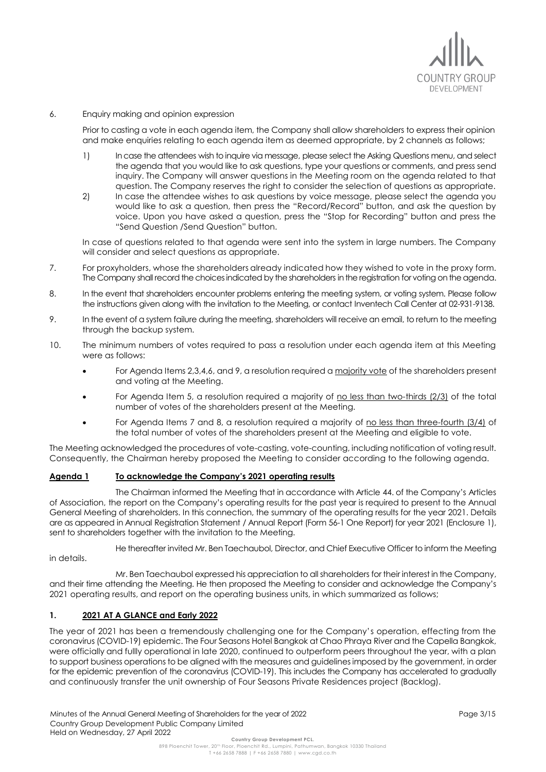

6. Enquiry making and opinion expression

Prior to casting a vote in each agenda item, the Company shall allow shareholders to express their opinion and make enquiries relating to each agenda item as deemed appropriate, by 2 channels as follows;

- 1) In case the attendees wish to inquire via message, please select the Asking Questions menu, and select the agenda that you would like to ask questions, type your questions or comments, and press send inquiry. The Company will answer questions in the Meeting room on the agenda related to that question. The Company reserves the right to consider the selection of questions as appropriate.
- 2) In case the attendee wishes to ask questions by voice message, please select the agenda you would like to ask a question, then press the "Record/Record" button, and ask the question by voice. Upon you have asked a question, press the "Stop for Recording" button and press the "Send Question /Send Question" button.

In case of questions related to that agenda were sent into the system in large numbers. The Company will consider and select questions as appropriate.

- 7. For proxyholders, whose the shareholders already indicated how they wished to vote in the proxy form. The Company shall record the choices indicated by the shareholders in the registration for voting on the agenda.
- 8. In the event that shareholders encounter problems entering the meeting system, or voting system. Please follow the instructions given along with the invitation to the Meeting, or contact Inventech Call Center at 02-931-9138.
- 9. In the event of a system failure during the meeting, shareholders will receive an email, to return to the meeting through the backup system.
- 10. The minimum numbers of votes required to pass a resolution under each agenda item at this Meeting were as follows:
	- For Agenda Items 2,3,4,6, and 9, a resolution required a majority vote of the shareholders present and voting at the Meeting.
	- For Agenda Item 5, a resolution required a majority of no less than two-thirds (2/3) of the total number of votes of the shareholders present at the Meeting.
	- For Agenda Items 7 and 8, a resolution required a majority of no less than three-fourth (3/4) of the total number of votes of the shareholders present at the Meeting and eligible to vote.

The Meeting acknowledged the procedures of vote-casting, vote-counting, including notification of voting result. Consequently, the Chairman hereby proposed the Meeting to consider according to the following agenda.

## **Agenda 1 To acknowledge the Company's 2021 operating results**

The Chairman informed the Meeting that in accordance with Article 44. of the Company's Articles of Association, the report on the Company's operating results for the past year is required to present to the Annual General Meeting of shareholders. In this connection, the summary of the operating results for the year 2021. Details are as appeared in Annual Registration Statement / Annual Report (Form 56-1 One Report) for year 2021 (Enclosure 1), sent to shareholders together with the invitation to the Meeting.

He thereafter invited Mr. Ben Taechaubol, Director, and Chief Executive Officer to inform the Meeting in details.

Mr. Ben Taechaubol expressed his appreciation to all shareholders for their interest in the Company, and their time attending the Meeting. He then proposed the Meeting to consider and acknowledge the Company's 2021 operating results, and report on the operating business units, in which summarized as follows;

# **1. 2021 AT A GLANCE and Early 2022**

The year of 2021 has been a tremendously challenging one for the Company's operation, effecting from the coronavirus (COVID-19) epidemic. The Four Seasons Hotel Bangkok at Chao Phraya River and the Capella Bangkok, were officially and fullly operational in late 2020, continued to outperform peers throughout the year, with a plan to support business operations to be aligned with the measures and guidelines imposed by the government, in order for the epidemic prevention of the coronavirus (COVID-19). This includes the Company has accelerated to gradually and continuously transfer the unit ownership of Four Seasons Private Residences project (Backlog).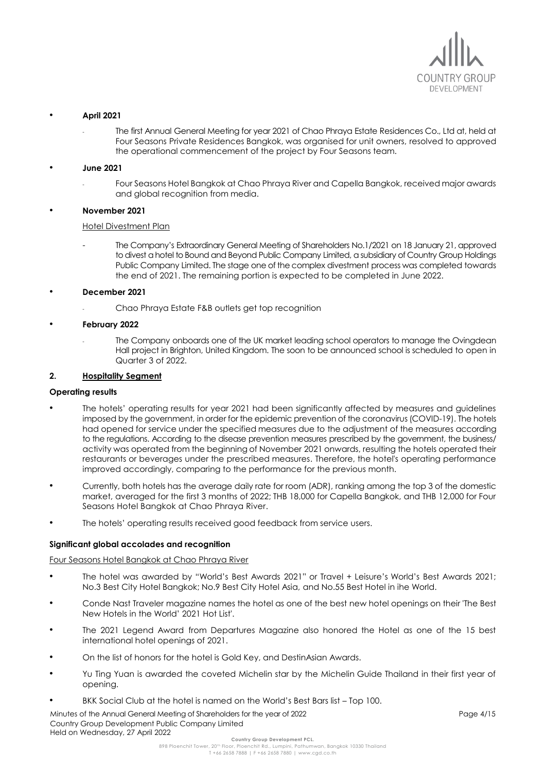

## • **April 2021**

The first Annual General Meeting for year 2021 of Chao Phraya Estate Residences Co., Ltd at, held at Four Seasons Private Residences Bangkok, was organised for unit owners, resolved to approved the operational commencement of the project by Four Seasons team.

### • **June 2021**

- Four Seasons Hotel Bangkok at Chao Phraya River and Capella Bangkok, received major awards and global recognition from media.

### • **November 2021**

#### Hotel Divestment Plan

- The Company's Extraordinary General Meeting of Shareholders No.1/2021 on 18 January 21, approved to divest a hotel to Bound and Beyond Public Company Limited, a subsidiary of Country Group Holdings Public Company Limited. The stage one of the complex divestment process was completed towards the end of 2021. The remaining portion is expected to be completed in June 2022.

### • **December 2021**

- Chao Phraya Estate F&B outlets get top recognition

### • **February 2022**

The Company onboards one of the UK market leading school operators to manage the Ovingdean Hall project in Brighton, United Kingdom. The soon to be announced school is scheduled to open in Quarter 3 of 2022.

## **2. Hospitality Segment**

#### **Operating results**

- The hotels' operating results for year 2021 had been significantly affected by measures and guidelines imposed by the government, in order for the epidemic prevention of the coronavirus (COVID-19). The hotels had opened for service under the specified measures due to the adjustment of the measures according to the regulations. According to the disease prevention measures prescribed by the government, the business/ activity was operated from the beginning of November 2021 onwards, resulting the hotels operated their restaurants or beverages under the prescribed measures. Therefore, the hotel's operating performance improved accordingly, comparing to the performance for the previous month.
- Currently, both hotels has the average daily rate for room (ADR), ranking among the top 3 of the domestic market, averaged for the first 3 months of 2022; THB 18,000 for Capella Bangkok, and THB 12,000 for Four Seasons Hotel Bangkok at Chao Phraya River.
- The hotels' operating results received good feedback from service users.

## **Significant global accolades and recognition**

#### Four Seasons Hotel Bangkok at Chao Phraya River

- The hotel was awarded by "World's Best Awards 2021" or Travel + Leisure's World's Best Awards 2021; No.3 Best City Hotel Bangkok; No.9 Best City Hotel Asia, and No.55 Best Hotel in ihe World.
- Conde Nast Traveler magazine names the hotel as one of the best new hotel openings on their 'The Best New Hotels in the World' 2021 Hot List'.
- The 2021 Legend Award from Departures Magazine also honored the Hotel as one of the 15 best international hotel openings of 2021.
- On the list of honors for the hotel is Gold Key, and DestinAsian Awards.
- Yu Ting Yuan is awarded the coveted Michelin star by the Michelin Guide Thailand in their first year of opening.
- BKK Social Club at the hotel is named on the World's Best Bars list Top 100.

Minutes of the Annual General Meeting of Shareholders for the year of 2022 Country Group Development Public Company Limited Held on Wednesday, 27 April 2022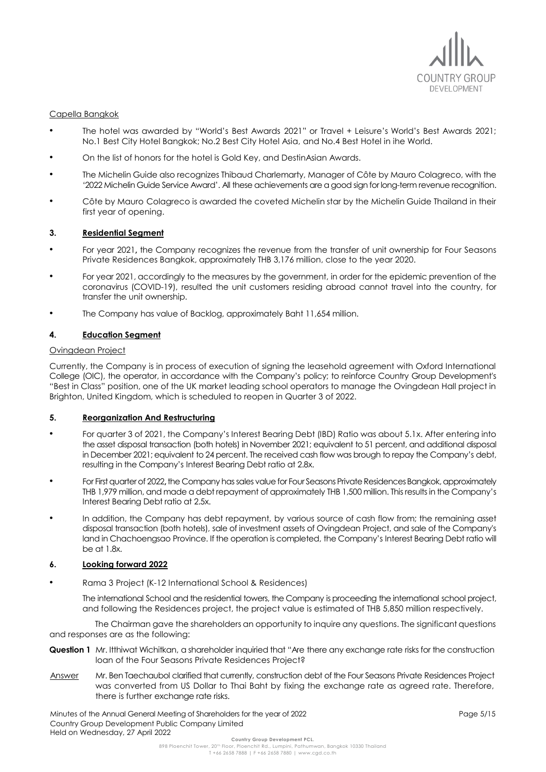

## Capella Bangkok

- The hotel was awarded by "World's Best Awards 2021" or Travel + Leisure's World's Best Awards 2021; No.1 Best City Hotel Bangkok; No.2 Best City Hotel Asia, and No.4 Best Hotel in ihe World.
- On the list of honors for the hotel is Gold Key, and DestinAsian Awards.
- The Michelin Guide also recognizes Thibaud Charlemarty, Manager of Côte by Mauro Colagreco, with the '2022 Michelin Guide Service Award'. All these achievements are a good sign for long-term revenue recognition.
- Côte by Mauro Colagreco is awarded the coveted Michelin star by the Michelin Guide Thailand in their first year of opening.

## **3. Residential Segment**

- For year 2021**,** the Company recognizes the revenue from the transfer of unit ownership for Four Seasons Private Residences Bangkok, approximately THB 3,176 million, close to the year 2020.
- For year 2021, accordingly to the measures by the government, in order for the epidemic prevention of the coronavirus (COVID-19), resulted the unit customers residing abroad cannot travel into the country, for transfer the unit ownership.
- The Company has value of Backlog, approximately Baht 11,654 million.

### **4. Education Segment**

## Ovingdean Project

Currently, the Company is in process of execution of signing the leasehold agreement with Oxford International College (OIC), the operator, in accordance with the Company's policy; to reinforce Country Group Development's "Best in Class" position, one of the UK market leading school operators to manage the Ovingdean Hall project in Brighton, United Kingdom, which is scheduled to reopen in Quarter 3 of 2022.

## **5. Reorganization And Restructuring**

- For quarter 3 of 2021, the Company's Interest Bearing Debt (IBD) Ratio was about 5.1x. After entering into the asset disposal transaction (both hotels) in November 2021; equivalent to 51 percent, and additional disposal in December 2021; equivalent to 24 percent. The received cash flow was brough to repay the Company's debt, resulting in the Company's Interest Bearing Debt ratio at 2.8x.
- For First quarter of 2022**,**the Company has sales value for Four Seasons Private Residences Bangkok, approximately THB 1,979 million, and made a debt repayment of approximately THB 1,500 million. This results in the Company's Interest Bearing Debt ratio at 2.5x.
- In addition, the Company has debt repayment, by various source of cash flow from; the remaining asset disposal transaction (both hotels), sale of investment assets of Ovingdean Project, and sale of the Company's land in Chachoengsao Province. If the operation is completed, the Company's Interest Bearing Debt ratio will be at 1.8x.

#### **6. Looking forward 2022**

• Rama 3 Project (K-12 International School & Residences)

The international School and the residential towers, the Company is proceeding the international school project, and following the Residences project, the project value is estimated of THB 5,850 million respectively.

The Chairman gave the shareholders an opportunity to inquire any questions. The significant questions and responses are as the following:

- **Question 1** Mr. Itthiwat Wichitkan, a shareholder inquiried that "Are there any exchange rate risks for the construction loan of the Four Seasons Private Residences Project?
- Answer Mr. Ben Taechaubol clarified that currently, construction debt of the Four Seasons Private Residences Project was converted from US Dollar to Thai Baht by fixing the exchange rate as agreed rate. Therefore, there is further exchange rate risks.

Minutes of the Annual General Meeting of Shareholders for the year of 2022 Country Group Development Public Company Limited Held on Wednesday, 27 April 2022 **Country Group Development PCL.**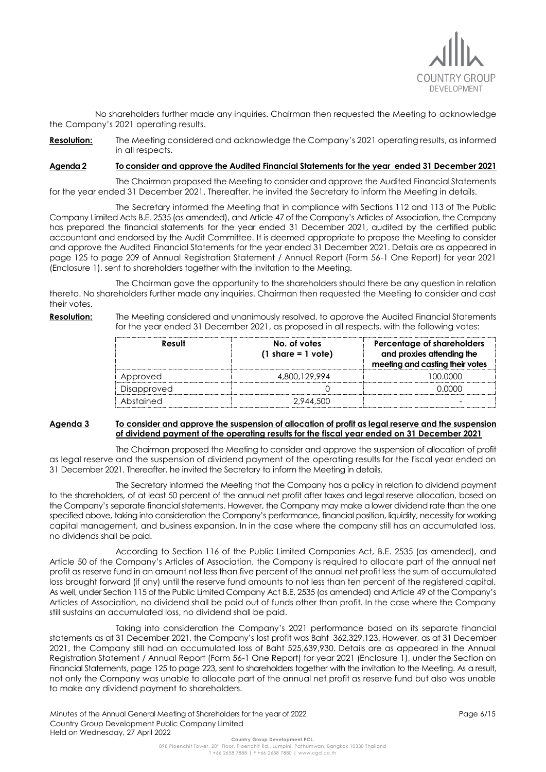

No shareholders further made any inquiries. Chairman then requested the Meeting to acknowledge the Company's 2021 operating results.

**Resolution:** The Meeting considered and acknowledge the Company's 2021 operating results, as informed in all respects.

### **Agenda 2 To consider and approve the Audited Financial Statements for the year ended 31 December 2021**

The Chairman proposed the Meeting to consider and approve the Audited Financial Statements for the year ended 31 December 2021. Thereafter, he invited the Secretary to inform the Meeting in details.

The Secretary informed the Meeting that in compliance with Sections 112 and 113 of The Public Company Limited Acts B.E. 2535 (as amended), and Article 47 of the Company's Articles of Association, the Company has prepared the financial statements for the year ended 31 December 2021, audited by the certified public accountant and endorsed by the Audit Committee. It is deemed appropriate to propose the Meeting to consider and approve the Audited Financial Statements for the year ended 31 December 2021. Details are as appeared in page 125 to page 209 of Annual Registration Statement / Annual Report (Form 56-1 One Report) for year 2021 (Enclosure 1), sent to shareholders together with the invitation to the Meeting.

The Chairman gave the opportunity to the shareholders should there be any question in relation thereto. No shareholders further made any inquiries. Chairman then requested the Meeting to consider and cast their votes.

**Resolution:** The Meeting considered and unanimously resolved, to approve the Audited Financial Statements for the year ended 31 December 2021, as proposed in all respects, with the following votes:

| Result      | No. of votes<br>$(1 \text{ share} = 1 \text{ vote})$ | Percentage of shareholders<br>and proxies attending the<br>meeting and casting their votes |
|-------------|------------------------------------------------------|--------------------------------------------------------------------------------------------|
| Approved    | 4,800,129,994                                        | <u> 100.0000 </u>                                                                          |
| Disapproved |                                                      | നനന                                                                                        |
| Abstained   | 2.944.500                                            |                                                                                            |

### **Agenda 3 To consider and approve the suspension of allocation of profit as legal reserve and the suspension of dividend payment of the operating results for the fiscal year ended on 31 December 2021**

The Chairman proposed the Meeting to consider and approve the suspension of allocation of profit as legal reserve and the suspension of dividend payment of the operating results for the fiscal year ended on 31 December 2021. Thereafter, he invited the Secretary to inform the Meeting in details.

The Secretary informed the Meeting that the Company has a policy in relation to dividend payment to the shareholders, of at least 50 percent of the annual net profit after taxes and legal reserve allocation, based on the Company's separate financial statements. However, the Company may make a lower dividend rate than the one specified above, taking into consideration the Company's performance, financial position, liquidity, necessity for working capital management, and business expansion. In in the case where the company still has an accumulated loss, no dividends shall be paid.

According to Section 116 of the Public Limited Companies Act, B.E. 2535 (as amended), and Article 50 of the Company's Articles of Association, the Company is required to allocate part of the annual net profit as reserve fund in an amount not less than five percent of the annual net profit less the sum of accumulated loss brought forward (if any) until the reserve fund amounts to not less than ten percent of the registered capital. As well, under Section 115 of the Public Limited Company Act B.E. 2535 (as amended) and Article 49 of the Company's Articles of Association, no dividend shall be paid out of funds other than profit. In the case where the Company still sustains an accumulated loss, no dividend shall be paid.

Taking into consideration the Company's 2021 performance based on its separate financial statements as at 31 December 2021, the Company's lost profit was Baht 362,329,123. However, as at 31 December 2021, the Company still had an accumulated loss of Baht 525,639,930. Details are as appeared in the Annual Registration Statement / Annual Report (Form 56-1 One Report) for year 2021 (Enclosure 1), under the Section on Financial Statements, page 125 to page 223, sent to shareholders together with the invitation to the Meeting. As a result, not only the Company was unable to allocate part of the annual net profit as reserve fund but also was unable to make any dividend payment to shareholders.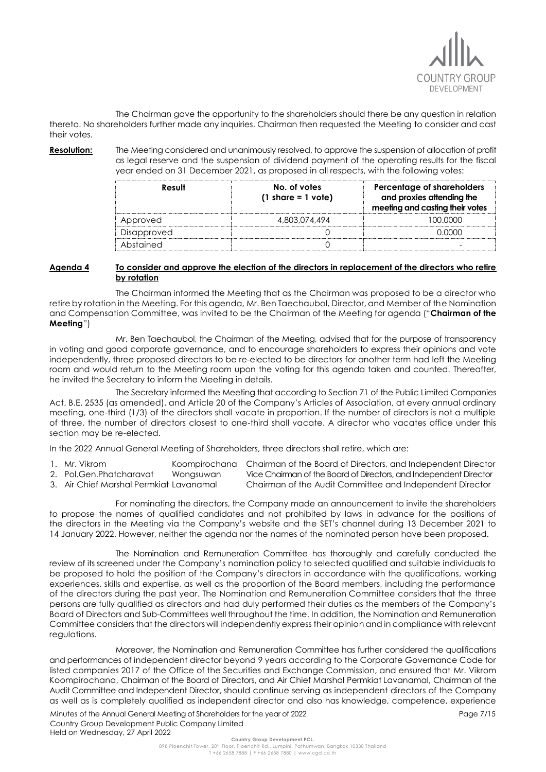

The Chairman gave the opportunity to the shareholders should there be any question in relation thereto. No shareholders further made any inquiries. Chairman then requested the Meeting to consider and cast their votes.

**Resolution:** The Meeting considered and unanimously resolved, to approve the suspension of allocation of profit as legal reserve and the suspension of dividend payment of the operating results for the fiscal year ended on 31 December 2021, as proposed in all respects, with the following votes:

| Result      | No. of votes<br>$(1 \text{ share} = 1 \text{ vote})$ | Percentage of shareholders<br>and proxies attending the<br>meeting and casting their votes |
|-------------|------------------------------------------------------|--------------------------------------------------------------------------------------------|
| Approved    | 4.803.074.494                                        | 100.0000                                                                                   |
| Disapproved |                                                      |                                                                                            |
| Abstained   |                                                      |                                                                                            |

## **Agenda 4 To consider and approve the election of the directors in replacement of the directors who retire by rotation**

The Chairman informed the Meeting that as the Chairman was proposed to be a director who retire by rotation in the Meeting. For this agenda, Mr. Ben Taechaubol, Director, and Member of the Nomination and Compensation Committee, was invited to be the Chairman of the Meeting for agenda ("**Chairman of the Meeting**")

Mr. Ben Taechaubol, the Chairman of the Meeting, advised that for the purpose of transparency in voting and good corporate governance, and to encourage shareholders to express their opinions and vote independently, three proposed directors to be re-elected to be directors for another term had left the Meeting room and would return to the Meeting room upon the voting for this agenda taken and counted. Thereafter, he invited the Secretary to inform the Meeting in details.

The Secretary informed the Meeting that according to Section 71 of the Public Limited Companies Act, B.E. 2535 (as amended), and Article 20 of the Company's Articles of Association, at every annual ordinary meeting, one-third (1/3) of the directors shall vacate in proportion. If the number of directors is not a multiple of three, the number of directors closest to one-third shall vacate. A director who vacates office under this section may be re-elected.

In the 2022 Annual General Meeting of Shareholders, three directors shall retire, which are:

| Mr. Vikrom                           | Koompirochana | Chairman of the Board of Directors, and Independent Director      |
|--------------------------------------|---------------|-------------------------------------------------------------------|
| 2. Pol.Gen.Phatcharavat              | Wongsuwan     | Vice Chairman of the Board of Directors, and Independent Director |
| Air Chief Marshal Permkiat Lavanamal |               | Chairman of the Audit Committee and Independent Director          |

3. Air Chief Marshal Permkiat Lavanamal Chairman of the Audit Committee and Independent Director

For nominating the directors, the Company made an announcement to invite the shareholders to propose the names of qualified candidates and not prohibited by laws in advance for the positions of the directors in the Meeting via the Company's website and the SET's channel during 13 December 2021 to 14 January 2022. However, neither the agenda nor the names of the nominated person have been proposed.

The Nomination and Remuneration Committee has thoroughly and carefully conducted the review of its screened under the Company's nomination policy to selected qualified and suitable individuals to be proposed to hold the position of the Company's directors in accordance with the qualifications, working experiences, skills and expertise, as well as the proportion of the Board members, including the performance of the directors during the past year. The Nomination and Remuneration Committee considers that the three persons are fully qualified as directors and had duly performed their duties as the members of the Company's Board of Directors and Sub-Committees well throughout the time. In addition, the Nomination and Remuneration Committee considers that the directors will independently express their opinion and in compliance with relevant regulations.

Moreover, the Nomination and Remuneration Committee has further considered the qualifications and performances of independent director beyond 9 years according to the Corporate Governance Code for listed companies 2017 of the Office of the Securities and Exchange Commission, and ensured that Mr. Vikrom Koompirochana, Chairman of the Board of Directors, and Air Chief Marshal Permkiat Lavanamal, Chairman of the Audit Committee and Independent Director, should continue serving as independent directors of the Company as well as is completely qualified as independent director and also has knowledge, competence, experience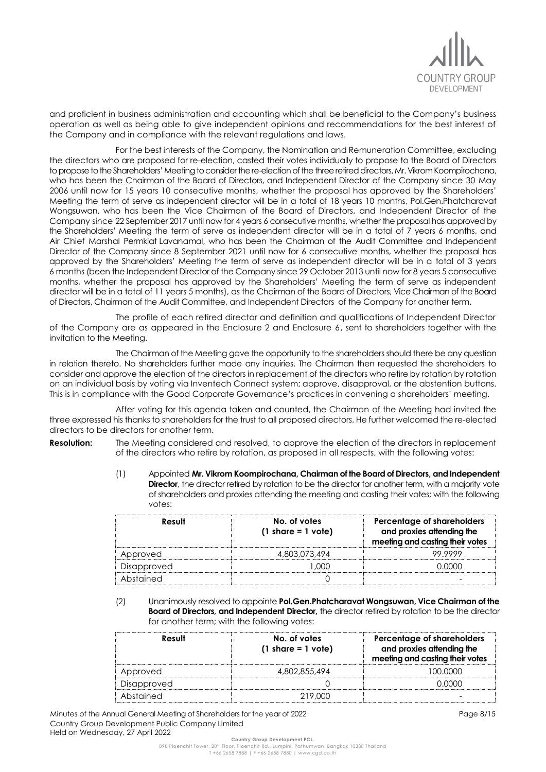

and proficient in business administration and accounting which shall be beneficial to the Company's business operation as well as being able to give independent opinions and recommendations for the best interest of the Company and in compliance with the relevant regulations and laws.

For the best interests of the Company, the Nomination and Remuneration Committee, excluding the directors who are proposed for re-election, casted their votes individually to propose to the Board of Directors to propose to the Shareholders' Meeting to consider the re-election of the three retired directors, Mr. Vikrom Koompirochana, who has been the Chairman of the Board of Directors, and Independent Director of the Company since 30 May 2006 until now for 15 years 10 consecutive months, whether the proposal has approved by the Shareholders' Meeting the term of serve as independent director will be in a total of 18 years 10 months, Pol.Gen.Phatcharavat Wongsuwan, who has been the Vice Chairman of the Board of Directors, and Independent Director of the Company since 22 September 2017 until now for 4 years 6 consecutive months, whether the proposal has approved by the Shareholders' Meeting the term of serve as independent director will be in a total of 7 years 6 months, and Air Chief Marshal Permkiat Lavanamal, who has been the Chairman of the Audit Committee and Independent Director of the Company since 8 September 2021 until now for 6 consecutive months, whether the proposal has approved by the Shareholders' Meeting the term of serve as independent director will be in a total of 3 years 6 months (been the Independent Director of the Company since 29 October 2013 until now for 8 years 5 consecutive months, whether the proposal has approved by the Shareholders' Meeting the term of serve as independent director will be in a total of 11 years 5 months), as the Chairman of the Board of Directors, Vice Chairman of the Board of Directors, Chairman of the Audit Committee, and Independent Directors of the Company for another term.

The profile of each retired director and definition and qualifications of Independent Director of the Company are as appeared in the Enclosure 2 and Enclosure 6, sent to shareholders together with the invitation to the Meeting.

The Chairman of the Meeting gave the opportunity to the shareholders should there be any question in relation thereto. No shareholders further made any inquiries. The Chairman then requested the shareholders to consider and approve the election of the directors in replacement of the directors who retire by rotation by rotation on an individual basis by voting via Inventech Connect system; approve, disapproval, or the abstention buttons. This is in compliance with the Good Corporate Governance's practices in convening a shareholders' meeting.

After voting for this agenda taken and counted, the Chairman of the Meeting had invited the three expressed his thanks to shareholders for the trust to all proposed directors. He further welcomed the re-elected directors to be directors for another term.

**Resolution:** The Meeting considered and resolved, to approve the election of the directors in replacement of the directors who retire by rotation, as proposed in all respects, with the following votes:

> (1) Appointed **Mr. Vikrom Koompirochana, Chairman of the Board of Directors, and Independent Director**, the director retired by rotation to be the director for another term, with a majority vote of shareholders and proxies attending the meeting and casting their votes; with the following votes:

| Result      | No. of votes<br>$(1 \text{ share} = 1 \text{ vote})$ | Percentage of shareholders<br>and proxies attending the<br>meeting and casting their votes |
|-------------|------------------------------------------------------|--------------------------------------------------------------------------------------------|
| Approved    | 4.803.073.494                                        | 99 9999                                                                                    |
| Disapproved | നന                                                   | . <u>വ</u> ധ                                                                               |
| Abstained   |                                                      |                                                                                            |

(2) Unanimously resolved to appointe **Pol.Gen.Phatcharavat Wongsuwan, Vice Chairman of the Board of Directors, and Independent Director,** the director retired by rotation to be the director for another term; with the following votes:

| Result      | No. of votes<br>$(1 \text{ share} = 1 \text{ vote})$ | Percentage of shareholders<br>and proxies attending the<br>meeting and casting their votes |
|-------------|------------------------------------------------------|--------------------------------------------------------------------------------------------|
| Approved    | 4,802,855,494                                        | <u>' UU UUUU </u>                                                                          |
| Disapproved |                                                      |                                                                                            |
| Abstained   | 219,000                                              |                                                                                            |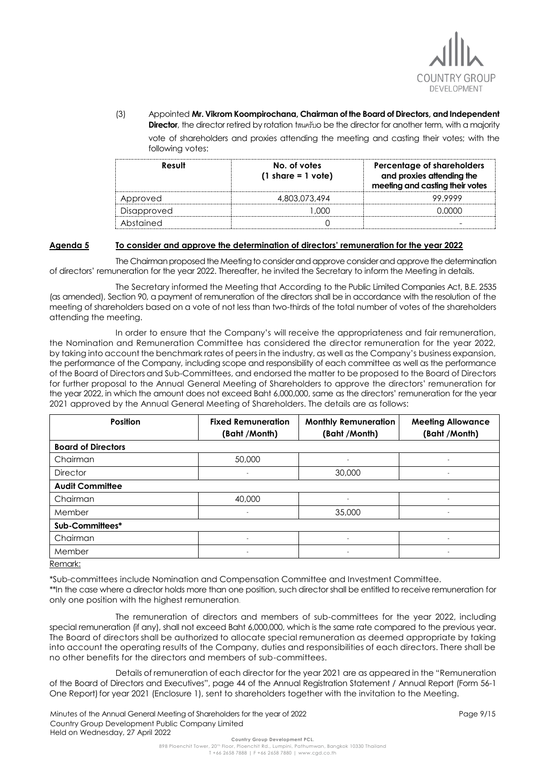

(3) Appointed **Mr. Vikrom Koompirochana, Chairman of the Board of Directors, and Independent Director**, the director retired by rotation tสนครับo be the director for another term, with a majority

vote of shareholders and proxies attending the meeting and casting their votes; with the following votes:

| Result      | No. of votes<br>$(1 \text{ share} = 1 \text{ vote})$ | Percentage of shareholders<br>and proxies attending the<br>meeting and casting their votes |
|-------------|------------------------------------------------------|--------------------------------------------------------------------------------------------|
| Approved    | 4.803.073.494                                        | 99 9999                                                                                    |
| Disapproved | [ )( )( )                                            |                                                                                            |
| Abstained   |                                                      |                                                                                            |

### **Agenda 5 To consider and approve the determination of directors' remuneration for the year 2022**

The Chairman proposed the Meeting to consider and approve consider and approve the determination of directors' remuneration for the year 2022. Thereafter, he invited the Secretary to inform the Meeting in details.

The Secretary informed the Meeting that According to the Public Limited Companies Act, B.E. 2535 (as amended), Section 90, a payment of remuneration of the directors shall be in accordance with the resolution of the meeting of shareholders based on a vote of not less than two-thirds of the total number of votes of the shareholders attending the meeting.

In order to ensure that the Company's will receive the appropriateness and fair remuneration, the Nomination and Remuneration Committee has considered the director remuneration for the year 2022, by taking into account the benchmark rates of peers in the industry, as well as the Company's business expansion, the performance of the Company, including scope and responsibility of each committee as well as the performance of the Board of Directors and Sub-Committees, and endorsed the matter to be proposed to the Board of Directors for further proposal to the Annual General Meeting of Shareholders to approve the directors' remuneration for the year 2022, in which the amount does not exceed Baht 6,000,000, same as the directors' remuneration for the year 2021 approved by the Annual General Meeting of Shareholders. The details are as follows:

| <b>Position</b>           | <b>Fixed Remuneration</b><br>(Baht /Month) | <b>Monthly Remuneration</b><br>(Baht /Month) | <b>Meeting Allowance</b><br>(Baht /Month) |
|---------------------------|--------------------------------------------|----------------------------------------------|-------------------------------------------|
|                           |                                            |                                              |                                           |
| <b>Board of Directors</b> |                                            |                                              |                                           |
| Chairman                  | 50,000                                     |                                              |                                           |
| <b>Director</b>           | ٠                                          | 30,000                                       | $\overline{\phantom{a}}$                  |
| <b>Audit Committee</b>    |                                            |                                              |                                           |
| Chairman                  | 40,000                                     |                                              |                                           |
| Member                    | ٠                                          | 35,000                                       | $\sim$                                    |
| Sub-Committees*           |                                            |                                              |                                           |
| Chairman                  |                                            |                                              |                                           |
| Member                    | $\overline{\phantom{0}}$                   | $\sim$                                       | $\sim$                                    |
| $\sim$ $\sim$ $\sim$      |                                            |                                              |                                           |

Remark:

\*Sub-committees include Nomination and Compensation Committee and Investment Committee.

\*\*In the case where a director holds more than one position, such director shall be entitled to receive remuneration for only one position with the highest remuneration.

The remuneration of directors and members of sub-committees for the year 2022, including special remuneration (if any), shall not exceed Baht 6,000,000, which is the same rate compared to the previous year. The Board of directors shall be authorized to allocate special remuneration as deemed appropriate by taking into account the operating results of the Company, duties and responsibilities of each directors. There shall be no other benefits for the directors and members of sub-committees.

Details of remuneration of each director for the year 2021 are as appeared in the "Remuneration of the Board of Directors and Executives", page 44 of the Annual Registration Statement / Annual Report (Form 56-1 One Report) for year 2021 (Enclosure 1), sent to shareholders together with the invitation to the Meeting.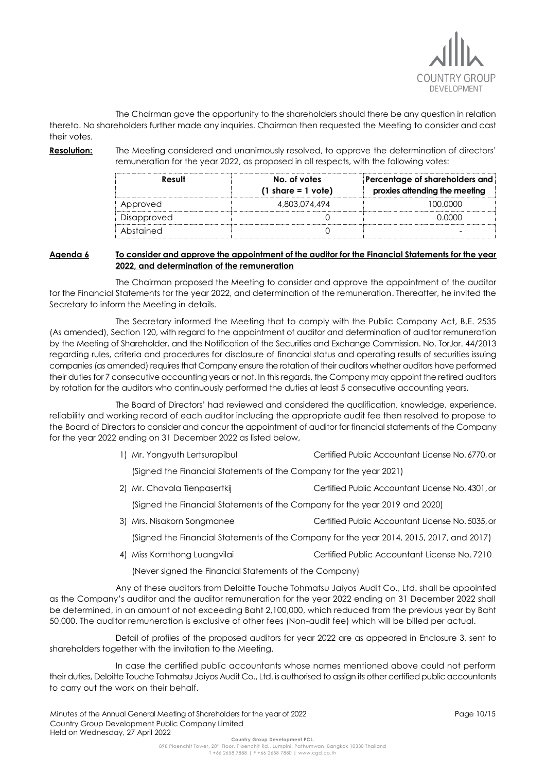

The Chairman gave the opportunity to the shareholders should there be any question in relation thereto. No shareholders further made any inquiries. Chairman then requested the Meeting to consider and cast their votes.

**Resolution:** The Meeting considered and unanimously resolved, to approve the determination of directors' remuneration for the year 2022, as proposed in all respects, with the following votes:

| Result      | No. of votes<br>$(1 \text{ share} = 1 \text{ vote})$ | Percentage of shareholders and<br>proxies attending the meeting |
|-------------|------------------------------------------------------|-----------------------------------------------------------------|
| Approved    | 4,803,074,494                                        | 100.0000                                                        |
| Disapproved |                                                      | N UUU U                                                         |
| Abstained   |                                                      |                                                                 |

## **Agenda 6 To consider and approve the appointment of the auditor for the Financial Statements for the year 2022, and determination of the remuneration**

The Chairman proposed the Meeting to consider and approve the appointment of the auditor for the Financial Statements for the year 2022, and determination of the remuneration. Thereafter, he invited the Secretary to inform the Meeting in details.

The Secretary informed the Meeting that to comply with the Public Company Act, B.E. 2535 (As amended), Section 120, with regard to the appointment of auditor and determination of auditor remuneration by the Meeting of Shareholder, and the Notification of the Securities and Exchange Commission. No. TorJor. 44/2013 regarding rules, criteria and procedures for disclosure of financial status and operating results of securities issuing companies (as amended) requires that Company ensure the rotation of their auditors whether auditors have performed their duties for 7 consecutive accounting years or not. In this regards, the Company may appoint the retired auditors by rotation for the auditors who continuously performed the duties at least 5 consecutive accounting years.

The Board of Directors' had reviewed and considered the qualification, knowledge, experience, reliability and working record of each auditor including the appropriate audit fee then resolved to propose to the Board of Directors to consider and concur the appointment of auditor for financial statements of the Company for the year 2022 ending on 31 December 2022 as listed below,

1) Mr. Yongyuth Lertsurapibul Certified Public Accountant License No.6770,or

(Signed the Financial Statements of the Company for the year 2021)

2) Mr. Chavala Tienpasertkij Certified Public Accountant License No. 4301, or

(Signed the Financial Statements of the Company for the year 2019 and 2020)

3) Mrs. Nisakorn Songmanee Certified Public Accountant License No.5035,or

(Signed the Financial Statements of the Company for the year 2014, 2015, 2017, and 2017)

4) Miss Kornthong Luangvilai Certified Public Accountant License No. 7210

(Never signed the Financial Statements of the Company)

Any of these auditors from Deloitte Touche Tohmatsu Jaiyos Audit Co., Ltd. shall be appointed as the Company's auditor and the auditor remuneration for the year 2022 ending on 31 December 2022 shall be determined, in an amount of not exceeding Baht 2,100,000, which reduced from the previous year by Baht 50,000. The auditor remuneration is exclusive of other fees (Non-audit fee) which will be billed per actual.

Detail of profiles of the proposed auditors for year 2022 are as appeared in Enclosure 3, sent to shareholders together with the invitation to the Meeting.

In case the certified public accountants whose names mentioned above could not perform their duties, Deloitte Touche Tohmatsu Jaiyos Audit Co., Ltd. is authorised to assign its other certified public accountants to carry out the work on their behalf.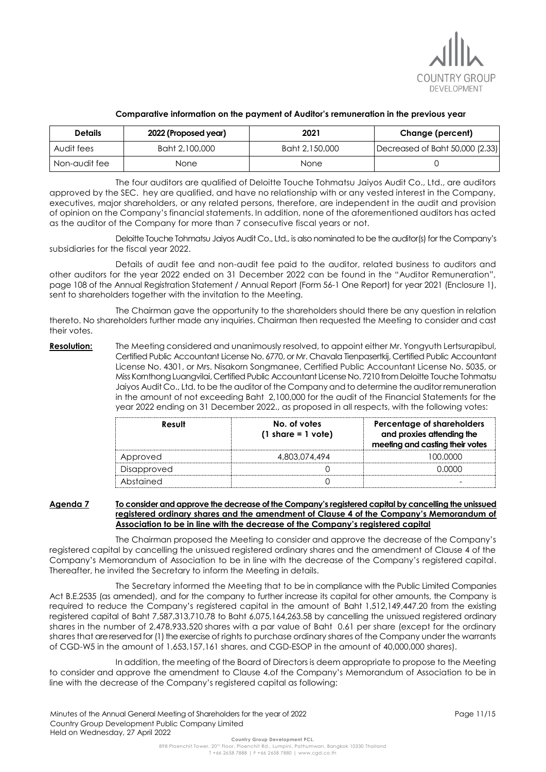

| <b>Details</b> | 2022 (Proposed year) | 2021           | Change (percent)                |
|----------------|----------------------|----------------|---------------------------------|
| Audit fees     | Baht 2,100,000       | Baht 2,150,000 | Decreased of Baht 50,000 (2.33) |
| Non-audit fee  | None                 | None           |                                 |

#### **Comparative information on the payment of Auditor's remuneration in the previous year**

The four auditors are qualified of Deloitte Touche Tohmatsu Jaiyos Audit Co., Ltd., are auditors approved by the SEC. hey are qualified, and have no relationship with or any vested interest in the Company, executives, major shareholders, or any related persons, therefore, are independent in the audit and provision of opinion on the Company's financial statements. In addition, none of the aforementioned auditors has acted as the auditor of the Company for more than 7 consecutive fiscal years or not.

Deloitte Touche Tohmatsu Jaiyos Audit Co., Ltd., is also nominated to be the auditor(s) for the Company's subsidiaries for the fiscal year 2022.

Details of audit fee and non-audit fee paid to the auditor, related business to auditors and other auditors for the year 2022 ended on 31 December 2022 can be found in the "Auditor Remuneration", page 108 of the Annual Registration Statement / Annual Report (Form 56-1 One Report) for year 2021 (Enclosure 1), sent to shareholders together with the invitation to the Meeting.

The Chairman gave the opportunity to the shareholders should there be any question in relation thereto. No shareholders further made any inquiries. Chairman then requested the Meeting to consider and cast their votes.

**Resolution:** The Meeting considered and unanimously resolved, to appoint either Mr. Yongyuth Lertsurapibul, Certified Public Accountant License No. 6770, or Mr. Chavala Tienpasertkij, Certified Public Accountant License No. 4301, or Mrs. Nisakorn Songmanee, Certified Public Accountant License No. 5035, or Miss Kornthong Luangvilai, Certified Public Accountant License No. 7210 from Deloitte Touche Tohmatsu Jaiyos Audit Co., Ltd. to be the auditor of the Company and to determine the auditor remuneration in the amount of not exceeding Baht 2,100,000 for the audit of the Financial Statements for the year 2022 ending on 31 December 2022., as proposed in all respects, with the following votes:

| Result      | No. of votes<br>$(1 \text{ share} = 1 \text{ vote})$ | Percentage of shareholders<br>and proxies attending the<br>meeting and casting their votes |
|-------------|------------------------------------------------------|--------------------------------------------------------------------------------------------|
| Approved    | 4.803.074.494                                        | 100.0000                                                                                   |
| Disapproved |                                                      |                                                                                            |
| Abstained   |                                                      |                                                                                            |

## **Agenda 7 To consider and approve the decrease of the Company's registered capital by cancelling the unissued registered ordinary shares and the amendment of Clause 4 of the Company's Memorandum of Association to be in line with the decrease of the Company's registered capital**

The Chairman proposed the Meeting to consider and approve the decrease of the Company's registered capital by cancelling the unissued registered ordinary shares and the amendment of Clause 4 of the Company's Memorandum of Association to be in line with the decrease of the Company's registered capital. Thereafter, he invited the Secretary to inform the Meeting in details.

The Secretary informed the Meeting that to be in compliance with the Public Limited Companies Act B.E.2535 (as amended), and for the company to further increase its capital for other amounts, the Company is required to reduce the Company's registered capital in the amount of Baht 1,512,149,447.20 from the existing registered capital of Baht 7,587,313,710.78 to Baht 6,075,164,263.58 by cancelling the unissued registered ordinary shares in the number of 2,478,933,520 shares with a par value of Baht 0.61 per share (except for the ordinary shares that are reserved for (1) the exercise of rights to purchase ordinary shares of the Company under the warrants of CGD-W5 in the amount of 1,653,157,161 shares, and CGD-ESOP in the amount of 40,000,000 shares).

In addition, the meeting of the Board of Directors is deem appropriate to propose to the Meeting to consider and approve the amendment to Clause 4.of the Company's Memorandum of Association to be in line with the decrease of the Company's registered capital as following: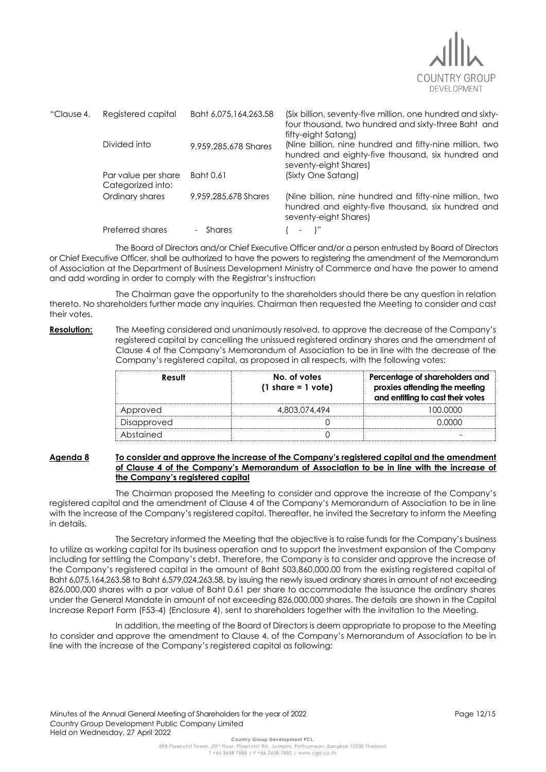

| "Clause 4. | Registered capital                       | Baht 6,075,164,263.58 | (Six billion, seventy-five million, one hundred and sixty-<br>four thousand, two hundred and sixty-three Baht and                                            |
|------------|------------------------------------------|-----------------------|--------------------------------------------------------------------------------------------------------------------------------------------------------------|
|            | Divided into                             | 9,959,285,678 Shares  | fifty-eight Satang)<br>(Nine billion, nine hundred and fifty-nine million, two<br>hundred and eighty-five thousand, six hundred and<br>seventy-eight Shares) |
|            | Par value per share<br>Categorized into: | Baht 0.61             | (Sixty One Satang)                                                                                                                                           |
|            | Ordinary shares                          | 9,959,285,678 Shares  | (Nine billion, nine hundred and fifty-nine million, two<br>hundred and eighty-five thousand, six hundred and<br>seventy-eight Shares)                        |
|            | Preferred shares                         | - Shares              | $\mathbb{R}^n$                                                                                                                                               |

The Board of Directors and/or Chief Executive Officer and/or a person entrusted by Board of Directors or Chief Executive Officer, shall be authorized to have the powers to registering the amendment of the Memorandum of Association at the Department of Business Development Ministry of Commerce and have the power to amend and add wording in order to comply with the Registrar's instruction

The Chairman gave the opportunity to the shareholders should there be any question in relation thereto. No shareholders further made any inquiries. Chairman then requested the Meeting to consider and cast their votes.

**Resolution:** The Meeting considered and unanimously resolved, to approve the decrease of the Company's registered capital by cancelling the unissued registered ordinary shares and the amendment of Clause 4 of the Company's Memorandum of Association to be in line with the decrease of the Company's registered capital, as proposed in all respects, with the following votes:

| Result      | No. of votes<br>$(1 \text{ share} = 1 \text{ vote})$ | Percentage of shareholders and<br>proxies attending the meeting<br>and entitling to cast their votes |
|-------------|------------------------------------------------------|------------------------------------------------------------------------------------------------------|
| Approved    | 4.803.074.494                                        | LOO OOOO                                                                                             |
| Disapproved |                                                      |                                                                                                      |
| Abstained   |                                                      |                                                                                                      |

#### **Agenda 8 To consider and approve the increase of the Company's registered capital and the amendment of Clause 4 of the Company's Memorandum of Association to be in line with the increase of the Company's registered capital**

The Chairman proposed the Meeting to consider and approve the increase of the Company's registered capital and the amendment of Clause 4 of the Company's Memorandum of Association to be in line with the increase of the Company's registered capital. Thereafter, he invited the Secretary to inform the Meeting in details.

The Secretary informed the Meeting that the objective is to raise funds for the Company's business to utilize as working capital for its business operation and to support the investment expansion of the Company including for settling the Company's debt. Therefore, the Company is to consider and approve the increase of the Company's registered capital in the amount of Baht 503,860,000.00 from the existing registered capital of Baht 6,075,164,263.58 to Baht 6,579,024,263.58, by issuing the newly issued ordinary shares in amount of not exceeding 826,000,000 shares with a par value of Baht 0.61 per share to accommodate the issuance the ordinary shares under the General Mandate in amount of not exceeding 826,000,000 shares. The details are shown in the Capital Increase Report Form (F53-4) (Enclosure 4), sent to shareholders together with the invitation to the Meeting.

In addition, the meeting of the Board of Directors is deem appropriate to propose to the Meeting to consider and approve the amendment to Clause 4. of the Company's Memorandum of Association to be in line with the increase of the Company's registered capital as following: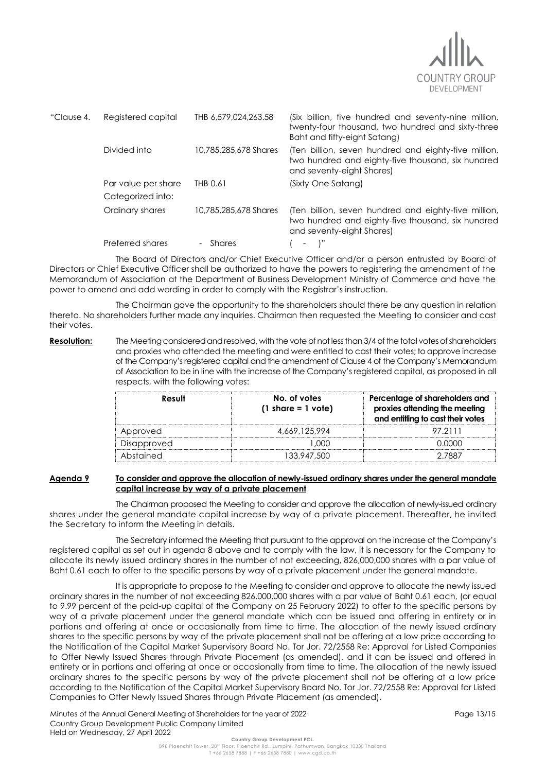

| "Clause 4. | Registered capital                       | THB 6.579.024.263.58  | (Six billion, five hundred and seventy-nine million,<br>twenty-four thousand, two hundred and sixty-three<br>Baht and fifty-eight Satang) |
|------------|------------------------------------------|-----------------------|-------------------------------------------------------------------------------------------------------------------------------------------|
|            | Divided into                             | 10.785.285.678 Shares | (Ten billion, seven hundred and eighty-five million,<br>two hundred and eighty-five thousand, six hundred<br>and seventy-eight Shares)    |
|            | Par value per share<br>Categorized into: | THB 0.61              | (Sixty One Satang)                                                                                                                        |
|            | Ordinary shares                          | 10.785.285.678 Shares | (Ten billion, seven hundred and eighty-five million,<br>two hundred and eighty-five thousand, six hundred<br>and seventy-eight Shares)    |
|            | Preferred shares                         | - Shares              |                                                                                                                                           |

The Board of Directors and/or Chief Executive Officer and/or a person entrusted by Board of Directors or Chief Executive Officer shall be authorized to have the powers to registering the amendment of the Memorandum of Association at the Department of Business Development Ministry of Commerce and have the power to amend and add wording in order to comply with the Registrar's instruction.

The Chairman gave the opportunity to the shareholders should there be any question in relation thereto. No shareholders further made any inquiries. Chairman then requested the Meeting to consider and cast their votes.

**Resolution:** The Meeting considered and resolved, with the vote of not less than 3/4 of the total votes of shareholders and proxies who attended the meeting and were entitled to cast their votes; to approve increase of the Company's registered capital and the amendment of Clause 4 of the Company's Memorandum of Association to be in line with the increase of the Company's registered capital, as proposed in all respects, with the following votes:

| Result      | No. of votes<br>$(1 \text{ share} = 1 \text{ vote})$ | Percentage of shareholders and<br>proxies attending the meeting<br>and entitling to cast their votes |
|-------------|------------------------------------------------------|------------------------------------------------------------------------------------------------------|
| Approved    | 4.669.125.994                                        | 97 21 11                                                                                             |
| Disapproved | .NOO                                                 | N UUU U                                                                                              |
| Abstained   | 133.947.500                                          | 2 7887                                                                                               |

## **Agenda 9 To consider and approve the allocation of newly-issued ordinary shares under the general mandate capital increase by way of a private placement**

The Chairman proposed the Meeting to consider and approve the allocation of newly-issued ordinary shares under the general mandate capital increase by way of a private placement. Thereafter, he invited the Secretary to inform the Meeting in details.

The Secretary informed the Meeting that pursuant to the approval on the increase of the Company's registered capital as set out in agenda 8 above and to comply with the law, it is necessary for the Company to allocate its newly issued ordinary shares in the number of not exceeding, 826,000,000 shares with a par value of Baht 0.61 each to offer to the specific persons by way of a private placement under the general mandate.

It is appropriate to propose to the Meeting to consider and approve to allocate the newly issued ordinary shares in the number of not exceeding 826,000,000 shares with a par value of Baht 0.61 each, (or equal to 9.99 percent of the paid-up capital of the Company on 25 February 2022) to offer to the specific persons by way of a private placement under the general mandate which can be issued and offering in entirety or in portions and offering at once or occasionally from time to time. The allocation of the newly issued ordinary shares to the specific persons by way of the private placement shall not be offering at a low price according to the Notification of the Capital Market Supervisory Board No. Tor Jor. 72/2558 Re: Approval for Listed Companies to Offer Newly Issued Shares through Private Placement (as amended), and it can be issued and offered in entirety or in portions and offering at once or occasionally from time to time. The allocation of the newly issued ordinary shares to the specific persons by way of the private placement shall not be offering at a low price according to the Notification of the Capital Market Supervisory Board No. Tor Jor. 72/2558 Re: Approval for Listed Companies to Offer Newly Issued Shares through Private Placement (as amended).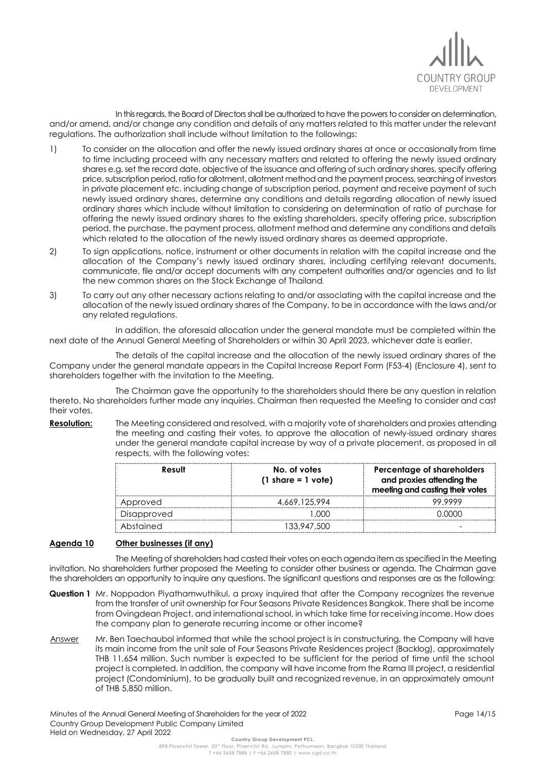

In this regards, the Board of Directors shall be authorized to have the powers to consider on determination, and/or amend, and/or change any condition and details of any matters related to this matter under the relevant regulations. The authorization shall include without limitation to the followings:

- 1) To consider on the allocation and offer the newly issued ordinary shares at once or occasionally from time to time including proceed with any necessary matters and related to offering the newly issued ordinary shares e.g. set the record date, objective of the issuance and offering of such ordinary shares, specify offering price, subscription period, ratio for allotment, allotment method and the payment process, searching of investors in private placement etc. including change of subscription period, payment and receive payment of such newly issued ordinary shares, determine any conditions and details regarding allocation of newly issued ordinary shares which include without limitation to considering on determination of ratio of purchase for offering the newly issued ordinary shares to the existing shareholders, specify offering price, subscription period, the purchase, the payment process, allotment method and determine any conditions and details which related to the allocation of the newly issued ordinary shares as deemed appropriate.
- 2) To sign applications, notice, instrument or other documents in relation with the capital increase and the allocation of the Company's newly issued ordinary shares, including certifying relevant documents, communicate, file and/or accept documents with any competent authorities and/or agencies and to list the new common shares on the Stock Exchange of Thailand.
- 3) To carry out any other necessary actions relating to and/or associating with the capital increase and the allocation of the newly issued ordinary shares of the Company, to be in accordance with the laws and/or any related regulations.

In addition, the aforesaid allocation under the general mandate must be completed within the next date of the Annual General Meeting of Shareholders or within 30 April 2023, whichever date is earlier.

The details of the capital increase and the allocation of the newly issued ordinary shares of the Company under the general mandate appears in the Capital Increase Report Form (F53-4) (Enclosure 4), sent to shareholders together with the invitation to the Meeting.

The Chairman gave the opportunity to the shareholders should there be any question in relation thereto. No shareholders further made any inquiries. Chairman then requested the Meeting to consider and cast their votes.

**Resolution:** The Meeting considered and resolved, with a majority vote of shareholders and proxies attending the meeting and casting their votes, to approve the allocation of newly-issued ordinary shares under the general mandate capital increase by way of a private placement, as proposed in all respects, with the following votes:

| Result      | No. of votes<br>$(1 \text{ share} = 1 \text{ vote})$ | Percentage of shareholders<br>and proxies attending the<br>meeting and casting their votes |
|-------------|------------------------------------------------------|--------------------------------------------------------------------------------------------|
| Approved    | 4.669.125.994                                        | 99 9999                                                                                    |
| Disapproved | നന                                                   | . <u>വ</u> ധ                                                                               |
| Abstained   | 133,947,500                                          |                                                                                            |

## **Agenda 10 Other businesses (if any)**

The Meeting of shareholders had casted their votes on each agenda item as specified in the Meeting invitation. No shareholders further proposed the Meeting to consider other business or agenda. The Chairman gave the shareholders an opportunity to inquire any questions. The significant questions and responses are as the following:

- **Question 1** Mr. Noppadon Piyathamwuthikul, a proxy inquired that after the Company recognizes the revenue from the transfer of unit ownership for Four Seasons Private Residences Bangkok. There shall be income from Ovingdean Project, and international school, in which take time for receiving income. How does the company plan to generate recurring income or other income?
- Answer Mr. Ben Taechaubol informed that while the school project is in constructuring, the Company will have its main income from the unit sale of Four Seasons Private Residences project (Backlog), approximately THB 11,654 million. Such number is expected to be sufficient for the period of time until the school project is completed. In addition, the company will have income from the Rama III project, a residential project (Condominium), to be gradually built and recognized revenue, in an approximately amount of THB 5,850 million.

Minutes of the Annual General Meeting of Shareholders for the year of 2022 Country Group Development Public Company Limited Held on Wednesday, 27 April 2022